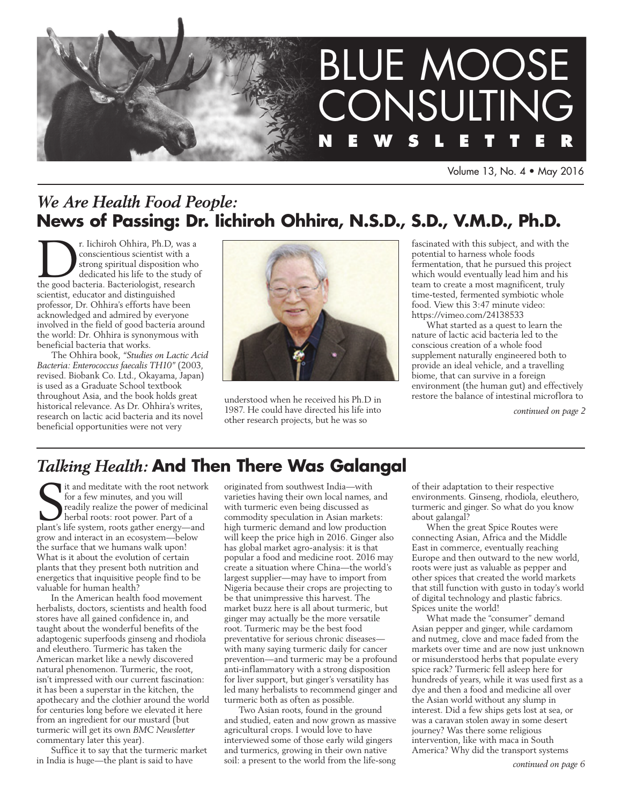

Volume 13, No. 4 • May 2016

# *We Are Health Food People:*  **News of Passing: Dr. Iichiroh Ohhira, N.S.D., S.D., V.M.D., Ph.D.**

r. Iichiroh Ohhira, Ph.D, was a<br>
sconscientious scientist with a<br>
strong spiritual disposition who<br>
dedicated his life to the study of<br>
the good bacteria. Bacteriologist, research conscientious scientist with a strong spiritual disposition who dedicated his life to the study of scientist, educator and distinguished professor, Dr. Ohhira's efforts have been acknowledged and admired by everyone involved in the field of good bacteria around the world: Dr. Ohhira is synonymous with beneficial bacteria that works.

The Ohhira book, *"Studies on Lactic Acid Bacteria: Enterococcus faecalis TH10"* (2003, revised. Biobank Co. Ltd., Okayama, Japan) is used as a Graduate School textbook throughout Asia, and the book holds great historical relevance. As Dr. Ohhira's writes, research on lactic acid bacteria and its novel beneficial opportunities were not very



understood when he received his Ph.D in 1987. He could have directed his life into other research projects, but he was so

fascinated with this subject, and with the potential to harness whole foods fermentation, that he pursued this project which would eventually lead him and his team to create a most magnificent, truly time-tested, fermented symbiotic whole food. View this 3:47 minute video: https://vimeo.com/24138533

What started as a quest to learn the nature of lactic acid bacteria led to the conscious creation of a whole food supplement naturally engineered both to provide an ideal vehicle, and a travelling biome, that can survive in a foreign environment (the human gut) and effectively restore the balance of intestinal microflora to

*continued on page 2*

# *Talking Health:* **And Then There Was Galangal**

It and meditate with the root network<br>for a few minutes, and you will<br>readily realize the power of medicinal<br>herbal roots: root power. Part of a<br>plant's life system, roots gather energy—and it and meditate with the root network for a few minutes, and you will readily realize the power of medicinal herbal roots: root power. Part of a grow and interact in an ecosystem—below the surface that we humans walk upon! What is it about the evolution of certain plants that they present both nutrition and energetics that inquisitive people find to be valuable for human health?

In the American health food movement herbalists, doctors, scientists and health food stores have all gained confidence in, and taught about the wonderful benefits of the adaptogenic superfoods ginseng and rhodiola and eleuthero. Turmeric has taken the American market like a newly discovered natural phenomenon. Turmeric, the root, isn't impressed with our current fascination: it has been a superstar in the kitchen, the apothecary and the clothier around the world for centuries long before we elevated it here from an ingredient for our mustard (but turmeric will get its own *BMC Newsletter*  commentary later this year).

Suffice it to say that the turmeric market in India is huge—the plant is said to have

originated from southwest India—with varieties having their own local names, and with turmeric even being discussed as commodity speculation in Asian markets: high turmeric demand and low production will keep the price high in 2016. Ginger also has global market agro-analysis: it is that popular a food and medicine root. 2016 may create a situation where China—the world's largest supplier—may have to import from Nigeria because their crops are projecting to be that unimpressive this harvest. The market buzz here is all about turmeric, but ginger may actually be the more versatile root. Turmeric may be the best food preventative for serious chronic diseases with many saying turmeric daily for cancer prevention—and turmeric may be a profound anti-inflammatory with a strong disposition for liver support, but ginger's versatility has led many herbalists to recommend ginger and turmeric both as often as possible.

Two Asian roots, found in the ground and studied, eaten and now grown as massive agricultural crops. I would love to have interviewed some of those early wild gingers and turmerics, growing in their own native soil: a present to the world from the life-song

of their adaptation to their respective environments. Ginseng, rhodiola, eleuthero, turmeric and ginger. So what do you know about galangal?

When the great Spice Routes were connecting Asian, Africa and the Middle East in commerce, eventually reaching Europe and then outward to the new world, roots were just as valuable as pepper and other spices that created the world markets that still function with gusto in today's world of digital technology and plastic fabrics. Spices unite the world!

What made the "consumer" demand Asian pepper and ginger, while cardamom and nutmeg, clove and mace faded from the markets over time and are now just unknown or misunderstood herbs that populate every spice rack? Turmeric fell asleep here for hundreds of years, while it was used first as a dye and then a food and medicine all over the Asian world without any slump in interest. Did a few ships gets lost at sea, or was a caravan stolen away in some desert journey? Was there some religious intervention, like with maca in South America? Why did the transport systems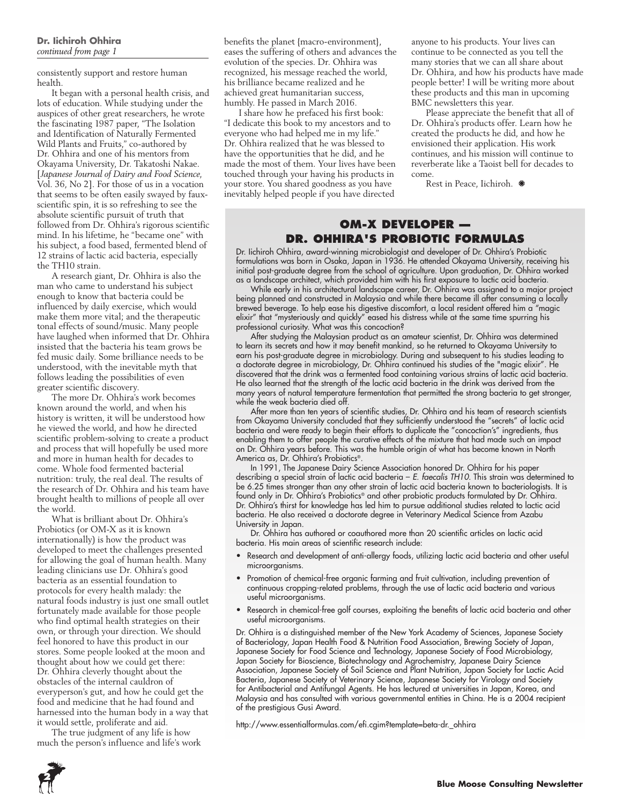consistently support and restore human health.

It began with a personal health crisis, and lots of education. While studying under the auspices of other great researchers, he wrote the fascinating 1987 paper, "The Isolation and Identification of Naturally Fermented Wild Plants and Fruits," co-authored by Dr. Ohhira and one of his mentors from Okayama University, Dr. Takatoshi Nakae. [*Japanese Journal of Dairy and Food Science*, Vol. 36, No 2]. For those of us in a vocation that seems to be often easily swayed by fauxscientific spin, it is so refreshing to see the absolute scientific pursuit of truth that followed from Dr. Ohhira's rigorous scientific mind. In his lifetime, he "became one" with his subject, a food based, fermented blend of 12 strains of lactic acid bacteria, especially the TH10 strain.

A research giant, Dr. Ohhira is also the man who came to understand his subject enough to know that bacteria could be influenced by daily exercise, which would make them more vital; and the therapeutic tonal effects of sound/music. Many people have laughed when informed that Dr. Ohhira insisted that the bacteria his team grows be fed music daily. Some brilliance needs to be understood, with the inevitable myth that follows leading the possibilities of even greater scientific discovery.

The more Dr. Ohhira's work becomes known around the world, and when his history is written, it will be understood how he viewed the world, and how he directed scientific problem-solving to create a product and process that will hopefully be used more and more in human health for decades to come. Whole food fermented bacterial nutrition: truly, the real deal. The results of the research of Dr. Ohhira and his team have brought health to millions of people all over the world.

What is brilliant about Dr. Ohhira's Probiotics (or OM-X as it is known internationally) is how the product was developed to meet the challenges presented for allowing the goal of human health. Many leading clinicians use Dr. Ohhira's good bacteria as an essential foundation to protocols for every health malady: the natural foods industry is just one small outlet fortunately made available for those people who find optimal health strategies on their own, or through your direction. We should feel honored to have this product in our stores. Some people looked at the moon and thought about how we could get there: Dr. Ohhira cleverly thought about the obstacles of the internal cauldron of everyperson's gut, and how he could get the food and medicine that he had found and harnessed into the human body in a way that it would settle, proliferate and aid.

The true judgment of any life is how much the person's influence and life's work benefits the planet {macro-environment}, eases the suffering of others and advances the evolution of the species. Dr. Ohhira was recognized, his message reached the world, his brilliance became realized and he achieved great humanitarian success, humbly. He passed in March 2016.

I share how he prefaced his first book: "I dedicate this book to my ancestors and to everyone who had helped me in my life." Dr. Ohhira realized that he was blessed to have the opportunities that he did, and he made the most of them. Your lives have been touched through your having his products in your store. You shared goodness as you have inevitably helped people if you have directed

anyone to his products. Your lives can continue to be connected as you tell the many stories that we can all share about Dr. Ohhira, and how his products have made people better! I will be writing more about these products and this man in upcoming BMC newsletters this year.

Please appreciate the benefit that all of Dr. Ohhira's products offer. Learn how he created the products he did, and how he envisioned their application. His work continues, and his mission will continue to reverberate like a Taoist bell for decades to come.

Rest in Peace, Iichiroh.  $\bullet$ 

### **OM-X Developer — Dr. Ohhira's Probiotic Formulas**

Dr. Iichiroh Ohhira, award-winning microbiologist and developer of Dr. Ohhira's Probiotic formulations was born in Osaka, Japan in 1936. He attended Okayama University, receiving his initial post-graduate degree from the school of agriculture. Upon graduation, Dr. Ohhira worked as a landscape architect, which provided him with his first exposure to lactic acid bacteria.

While early in his architectural landscape career, Dr. Ohhira was assigned to a major project being planned and constructed in Malaysia and while there became ill after consuming a locally brewed beverage. To help ease his digestive discomfort, a local resident offered him a "magic elixir" that "mysteriously and quickly" eased his distress while at the same time spurring his professional curiosity. What was this concoction?

After studying the Malaysian product as an amateur scientist, Dr. Ohhira was determined to learn its secrets and how it may benefit mankind, so he returned to Okayama University to earn his post-graduate degree in microbiology. During and subsequent to his studies leading to a doctorate degree in microbiology, Dr. Ohhira continued his studies of the "magic elixir". He discovered that the drink was a fermented food containing various strains of lactic acid bacteria. He also learned that the strength of the lactic acid bacteria in the drink was derived from the many years of natural temperature fermentation that permitted the strong bacteria to get stronger, while the weak bacteria died off.

After more than ten years of scientific studies, Dr. Ohhira and his team of research scientists from Okayama University concluded that they sufficiently understood the "secrets" of lactic acid bacteria and were ready to begin their efforts to duplicate the "concoction's" ingredients, thus enabling them to offer people the curative effects of the mixture that had made such an impact on Dr. Ohhira years before. This was the humble origin of what has become known in North America as, Dr. Ohhira's Probiotics®.

In 1991, The Japanese Dairy Science Association honored Dr. Ohhira for his paper describing a special strain of lactic acid bacteria – *E. faecalis TH10*. This strain was determined to be 6.25 times stronger than any other strain of lactic acid bacteria known to bacteriologists. It is found only in Dr. Ohhira's Probiotics® and other probiotic products formulated by Dr. Ohhira. Dr. Ohhira's thirst for knowledge has led him to pursue additional studies related to lactic acid bacteria. He also received a doctorate degree in Veterinary Medical Science from Azabu University in Japan.

Dr. Ohhira has authored or coauthored more than 20 scientific articles on lactic acid bacteria. His main areas of scientific research include:

- Research and development of anti-allergy foods, utilizing lactic acid bacteria and other useful microorganisms.
- Promotion of chemical-free organic farming and fruit cultivation, including prevention of continuous cropping-related problems, through the use of lactic acid bacteria and various useful microorganisms.
- Research in chemical-free golf courses, exploiting the benefits of lactic acid bacteria and other useful microorganisms.

Dr. Ohhira is a distinguished member of the New York Academy of Sciences, Japanese Society of Bacteriology, Japan Health Food & Nutrition Food Association, Brewing Society of Japan, Japanese Society for Food Science and Technology, Japanese Society of Food Microbiology, Japan Society for Bioscience, Biotechnology and Agrochemistry, Japanese Dairy Science Association, Japanese Society of Soil Science and Plant Nutrition, Japan Society for Lactic Acid Bacteria, Japanese Society of Veterinary Science, Japanese Society for Virology and Society for Antibacterial and Antifungal Agents. He has lectured at universities in Japan, Korea, and Malaysia and has consulted with various governmental entities in China. He is a 2004 recipient of the prestigious Gusi Award.

http://www.essentialformulas.com/efi.cgim?template=beta-dr.\_ohhira

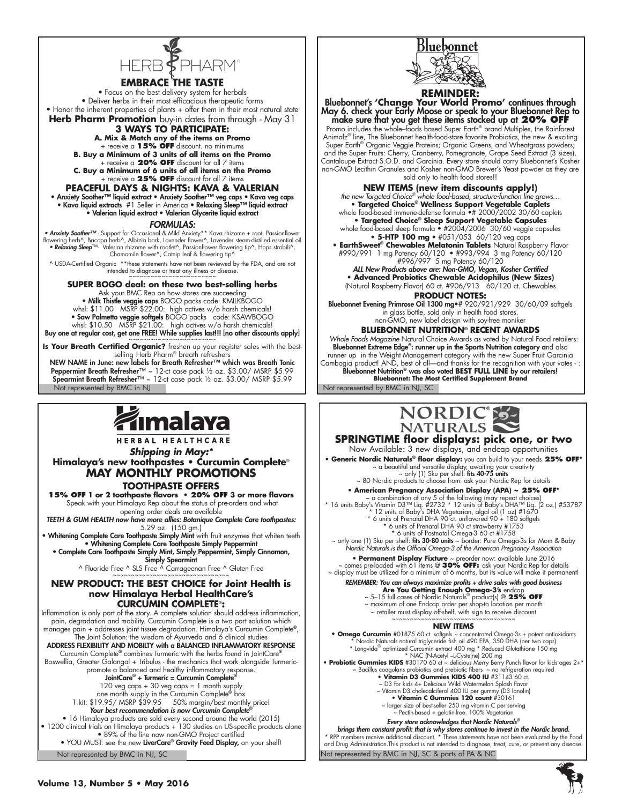

**Embrace the taste**

• Focus on the best delivery system for herbals • Deliver herbs in their most efficacious therapeutic forms • Honor the inherent properties of plants + offer them in their most natural state **Herb Pharm Promotion** buy-in dates from through - May 31

**3 Ways to Participate: A. Mix & Match any of the items on Promo**  + receive a **15% OFF** discount. no minimums **B. Buy a Minimum of 3 units of all items on the Promo** + receive a **20% OFF** discount for all 7 items **C. Buy a Minimum of 6 units of all items on the Promo** + receive a **25% OFF** discount for all 7 items

**Peaceful Days & Nights: Kava & Valerian** • Anxiety Soother™ liquid extract • Anxiety Soother™ veg caps • Kava veg caps

• Kava liquid extracts #1 Seller in America • Relaxing Sleep™ liquid extract • Valerian liquid extract • Valerian Glycerite liquid extract

*FORMULAS:*

• Anxiety Soother™ - Support for Occasional & Mild Anxiety\*\* Kava rhizome + root, Passionflower flowering herb^, Bacopa herb^, Albizia bark, Lavender flower^, Lavender steam-distilled essential oil<br>• **Relaxing Sleep™**- Valerian rhizome with rootlet^, Passionflower flowering tip^, Hops strobili^, Chamomile flower^, Catnip leaf & flowering tip^

^ USDA-Certified Organic \*\*these statements have not been reviewed by the FDA, and are not intended to diagnose or treat any illness or disease.

#### **SUPER BOGO deal: on these two best-selling herbs**

Ask your BMC Rep on how stores are succeeding • Milk Thistle veggie caps BOGO packs code: KMILKBO whsl: \$11.00 MSRP \$22.00: high actives w/o harsh chemicals! • Saw Palmetto veggie softgels BOGO packs code: KSAWBO whsl: \$10.50 MSRP \$21.00: high actives w/o harsh chemicals! Buy one at regular cost, get one FREE! While supplies last!!! [no other discounts apply] ~~~~~~~~~~~~~~~~~~~~~~~~

**Is Your Breath Certified Organic?** freshen up your register sales with the best-<br>selling Herb Pharm® breath refreshers<br>NEW NAME in June: new labels for Breath Refresher™ which was Breath Tonic

Not represented by BMC in NJ Not represented by BMC in NJ, SC **Peppermint Breath Refresher™ ~ 12-**ct case pack ½ oz. \$3.00/ MSRP \$5.99 **Spearmint Breath Refresher™ ~ 12-**ct case pack ½ oz. \$3.00/ MSRP \$5.99



HERBAL HEALTHCARE

*Shipping in May:\**  **Himalaya's new toothpastes • Curcumin Complete**® **MAY MONTHLY PROMOTIONS**

**Toothpaste offers**

**15% OFF 1 or 2 toothpaste flavors • 20% OFF 3 or more flavors** Speak with your Himalaya Rep about the status of pre-orders and what opening order deals are available

*TEETH & GUM HEALTH now have more allies: Botanique Complete Care toothpastes:*  5.29 oz. (150 gm.)

• Whitening Complete Care Toothpaste Simply Mint with fruit enzymes that whiten teeth • Whitening Complete Care Toothpaste Simply Peppermint • Complete Care Toothpaste Simply Mint, Simply Peppermint, Simply Cinnamon,

Simply Spearmint ^ Fluoride Free ^ SLS Free ^ Carrageenan Free ^ Gluten Free

#### **NEW PRODUCT: THE BEST CHOICE for Joint Health is now Himalaya Herbal HealthCare's Curcumin Complete**®**:**

Inflammation is only part of the story. A complete solution should address inflammation, pain, degradation and mobility. Curcumin Complete is a two part solution which manages pain + addresses joint tissue degradation. Himalaya's Curcumin Complete®,

The Joint Solution: the wisdom of Ayurveda and 6 clinical studies ADDRESS FLEXIBILITY AND MOBILTY with a BALANCED INFLAMMATORY RESPONSE Curcumin Complete® combines Turmeric with the herbs found in JointCare® Boswellia, Greater Galangal + Tribulus - the mechanics that work alongside Turmericpromote a balanced and healthy inflammatory response.

JointCare® + Turmeric = Curcumin Complete®

120 veg caps + 30 veg caps = 1 month supply one month supply in the Curcumin Complete® box 1 kit: \$19.95/ MSRP \$39.95 50% margin/best monthly price!

*Your best recommendation is now Curcumin Complete*®

• 16 Himalaya products are sold every second around the world (2015) • 1200 clinical trials on Himalaya products + 130 studies on US-specific products alone

• 89% of the line now non-GMO Project certified<br>• YOU MUST: see the new **LiverCare® Gravity Feed Display,** on your shelf!

Not represented by BMC in NJ, SC



**REMINDER:**<br>Bluebonnet's 'Change Your World Promo' continues through May 6. check your Early Moose or speak to your Bluebonnet Rep to make sure that you get these items stocked up at **20% OFF** 

Promo includes the whole–foods based Super Earth® brand Multiples, the Rainforest Animalz® line, The Bluebonnet health-food-store favorite Probiotics, the new & exciting Super Earth® Organic Veggie Proteins; Organic Greens, and Wheatgrass powders; and the Super Fruits: Cherry, Cranberry, Pomegranate, Grape Seed Extract (3 sizes), Cantaloupe Extract S.O.D. and Garcinia. Every store should carry Bluebonnet's Kosher non-GMO Lecithin Granules and Kosher non-GMO Brewer's Yeast powder as they are sold only to health food stores!!

**NEW ITEMS (new item discounts apply!)** *the new Targeted Choice® whole food-based, structure-function line grows…* **• Targeted Choice® Wellness Support Vegetable Caplets** whole food-based immune-defense formula •# 2000/2002 30/60 caplets **• Targeted Choice® Sleep Support Vegetable Capsules** whole food-based sleep formula • #2004/2006 30/60 veggie capsules

**• 5-HTP 100 mg** • #051/053 60/120 veg caps **• EarthSweet® Chewables Melatonin Tablets** Natural Raspberry Flavor

#990/991 1 mg Potency 60/120 • #993/994 3 mg Potency 60/120 #996/997 5 mg Potency 60/120 *ALL New Products above are: Non-GMO, Vegan, Kosher Certified*

**• Advanced Probiotics Chewable Acidophilus (New Sizes)** (Natural Raspberry Flavor) 60 ct. #906/913 60/120 ct. Chewables **PRODUCT NOTES:**

Bluebonnet Evening Primrose Oil 1300 mg•# 920/921/929 30/60/09 softgels in glass bottle, sold only in health food stores. non-GMO, new label design with soy-free moniker

**Bluebonnet Nutrition® recent Awards** *Whole Foods Magazine* Natural Choice Awards as voted by Natural Food retailers: Bluebonnet Extreme Edge®: runner up in the Sports Nutrition category and also runner up in the Weight Management category with the new Super Fruit Garcinia Cambogia product! AND, best of all—and thanks for the recognition with your votes - : Bluebonnet Nutrition® was also voted **BEST FULL LINE** by our retailers! **Bluebonnet: The Most Certified Supplement Brand**



**SPRINGTIME floor displays: pick one, or two** Now Available: 3 new displays, and endcap opportunities **• Generic Nordic Naturals® floor display:** you can build to your needs **25% OFF\***  $\sim$  a beautiful and versatile display, awaiting your creativity<br> $\sim$  only (1) Sku per shelf: **fits 40-75 units** ~ 80 Nordic products to choose from: ask your Nordic Rep for details • American Pregnancy Association Display (APA) ~ 25% OFF\*<br>
\* 16 units Baby's Vitamin D3<sup>TM</sup> Liq. #2732 \* 12 units of Baby's DHA<sup>TM</sup> Liq. (2 oz.) #53787<br>
\* 16 units Baby's Vitamin D3<sup>TM</sup> Liq. #2732 \* 12 units of Baby's DHA

\* 6 units of Postnatal Omega-3 60 ct #1758

~ only one (1) Sku per shelf: fits 30-80 units ~ border: Pure Omega-3s for Mom & Baby *Nordic Naturals is the Official Omega-3 of the American Pregnancy Association*

**• Permanent Display Fixture** ~ preorder now: available June 2016 ~ comes pre-loaded with 61 items @ **30% OFF:** ask your Nordic Rep for details ~ display must be utilized for a minimum of 6 months, but its value will make it permanent!

*REMEMBER: You can always maximize profits + drive sales with good business*

**Are You Getting Enough Omega-3's** endcap ~ 5–15 full cases of Nordic Naturals® product(s) @ **25% OFF**

- ~ maximum of one Endcap order per shop-to location per month
- ~ retailer must display off-shelf, with sign to receive discount ~~~~~~~~~~~~~~~~~~~~~~~~~~~~~~~~~~

#### **NEW ITEMS**

• Omega Curcumin #01875 60 ct. softgels ~ concentrated Omega-3s + potent antioxidants<br>
\* Nordic Naturals natural trighlyceride fish oil 490 EPA, 350 DHA (per two caps)<br>
\* Longvida <sup>®</sup> optimized Curcumin extract 400 mg \* R

- 
- 
- ~ Vitamin D3 cholecalciferol 400 IU per gummy (D3 lanolin)
- **Vitamin C Gummies 120 count** #30161 ~ larger size of best-seller 250 mg vitamin C per serving ~ Pectin-based + gelatin-free. 100% Vegetarian
- 

#### *Every store acknowledges that Nordic Naturals®*

Not represented by BMC in NJ, SC & parts of PA & NC **brings them constant profit: that is why stores continue to invest in the Nordic brand.**<br>\* RPP members receive additional discount. \* These statements have not been evaluated by the Food and Drug Administration.This product is not intended to diagnose, treat, cure, or prevent any disease.

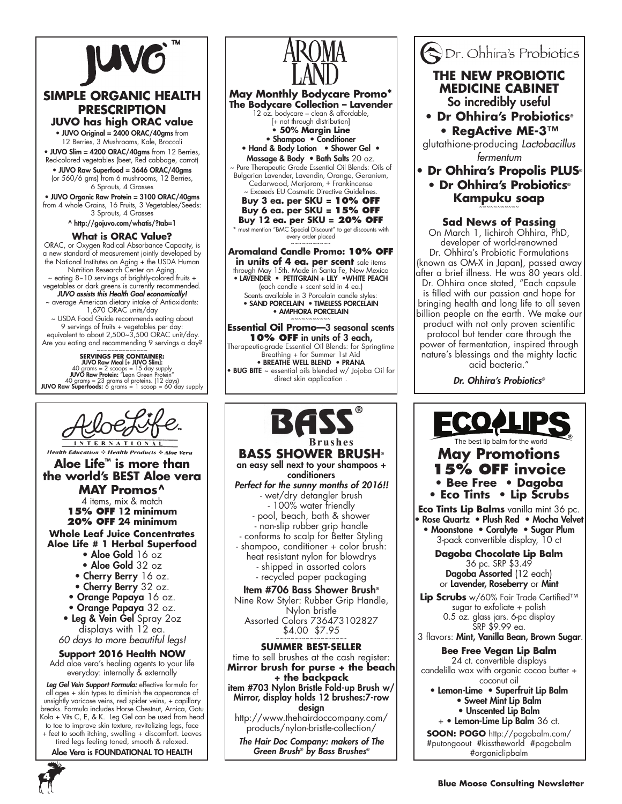

### **SIMPLE ORGANIC HEALTH PRESCRIPTION JUVO has high ORAC value**

• JUVO Original = 2400 ORAC/40gms from 12 Berries, 3 Mushrooms, Kale, Broccoli • JUVO Slim = 4200 ORAC/40gms from 12 Berries,

Red-colored vegetables (beet, Red cabbage, carrot) • JUVO Raw Superfood = 3646 ORAC/40gms (or 560/6 gms) from 6 mushrooms, 12 Berries, 6 Sprouts, 4 Grasses

• JUVO Organic Raw Protein = 3100 ORAC/40gms from 4 whole Grains, 16 Fruits, 3 Vegetables/Seeds: 3 Sprouts, 4 Grasses

^ http://gojuvo.com/whatis/?tab=1

#### **What is ORAC Value?**

ORAC, or Oxygen Radical Absorbance Capacity, is a new standard of measurement jointly developed by the National Institutes on Aging + the USDA Human Nutrition Research Center on Aging.

 $\sim$  eating 8 $\sim$ 10 servings of brightly-colored fruits + vegetables or dark greens is currently recommended. *JUVO assists this Health Goal economically!*

~ average American dietary intake of Antioxidants: 1,670 ORAC units/day ~ USDA Food Guide recommends eating about

9 servings of fruits + vegetables per day: equivalent to about 2,500~3,500 ORAC unit/day. Are you eating and recommending 9 servings a day?

**SERVINGS PER CONTAINER:**<br>
10 JOYO Raw Meal [+ JUVO Slim]:<br>
40 grams = 2 scops = 15 day supply<br>
10 JUVO Raw Protein: "Lean Green Protein"<br>
40 grams = 23 grams = 6 proteins. (12 days)<br>
10 Raw Superfoods: 6 grams = 1 scop =



**Health Education & Health Products & Aloe Vera** 

**Aloe Life™ is more than the world's BEST Aloe vera**

> **MAY Promos^** 4 items, mix & match **15% OFF 12 minimum 20% OFF 24 minimum**

**Whole Leaf Juice Concentrates Aloe Life # 1 Herbal Superfood**

- Aloe Gold 16 oz
- Aloe Gold 32 oz
- Cherry Berry 16 oz.
- Cherry Berry 32 oz.
- Orange Papaya 16 oz.
- Orange Papaya 32 oz.

• Leg & Vein Gel Spray 2oz displays with 12 ea. *60 days to more beautiful legs!*

### **Support 2016 Health NOW**

Add aloe vera's healing agents to your life everyday: internally & externally

*Leg Gel Vein Support Formula:* effective formula for all ages + skin types to diminish the appearance of unsightly varicose veins, red spider veins, + capillary breaks. Formula includes Horse Chestnut, Arnica, Gotu Kola + Vits C, E, & K. Leg Gel can be used from head to toe to improve skin texture, revitalizing legs, face + feet to sooth itching, swelling + discomfort. Leaves tired legs feeling toned, smooth & relaxed.

Aloe Vera is FOUNDATIONAL TO HEALTH



• Hand & Body Lotion • Shower Gel • Massage & Body • Bath Salts 20 oz. ~ Pure Therapeutic Grade Essential Oil Blends: Oils of

Bulgarian Lavender, Lavendin, Orange, Geranium, Cedarwood, Marjoram, + Frankincense **Exceeds EU Cosmetic Directive Guidelines.** 

**Buy 3 ea. per SKU = 10% OFF Buy 6 ea. per SKU = 15% OFF**

**Buy 12 ea. per SKU = 20% OFF**<br>\* must mention "BMC Special Discount" to get discounts with every order placed

~~~~~~~~~ **Aromaland Candle Promo: 10% OFF** in units of 4 ea. per scent sale items

through May 15th. Made in Santa Fe, New Mexico • LAVENDER • PETITGRAIN + LILY •WHITE PEACH (each candle + scent sold in 4 ea.) Scents available in 3 Porcelain candle styles:

• SAND PORCELAIN • TIMELESS PORCELAIN • AMPHORA PORCELAIN

**Essential Oil Promo—**3 seasonal scents **10% OFF** in units of 3 each, Therapeutic-grade Essential Oil Blends: for Springtime Breathing + for Summer 1st Aid<br>• BREATHE WELL BLEND • PRAN

• Bug Bite ~ essential oils blended w/ Jojoba Oil for direct skin application.

**Bass Shower Brush®** an easy sell next to your shampoos + conditioners *Perfect for the sunny months of 2016!!* - wet/dry detangler brush - 100% water friendly - pool, beach, bath & shower - non-slip rubber grip handle - conforms to scalp for Better Styling - shampoo, conditioner + color brush: heat resistant nylon for blowdrys - shipped in assorted colors - recycled paper packaging Item #706 Bass Shower Brush**®** Nine Row Styler: Rubber Grip Handle, Nylon bristle Assorted Colors 736473102827  $$4.00$   $$7.95$ **SUMMER BEST-SELLER** time to sell brushes at the cash register: **Mirror brush for purse + the beach + the backpack** item #703 Nylon Bristle Fold-up Brush w/ Mirror, display holds 12 brushes:7-row design http://www.thehairdoccompany.com/ products/nylon-bristle-collection/

*The Hair Doc Company: makers of The Green Brush® by Bass Brushes®*



So incredibly useful

**• Dr Ohhira's Probiotics**® **• RegActive ME-3**™

glutathione-producing *Lactobacillus fermentum*

**• Dr Ohhira's Propolis PLUS**® **• Dr Ohhira's Probiotics**® **Kampuku soap** ~~~~~~~~~~~

#### **Sad News of Passing**

On March 1, Iichiroh Ohhira, PhD, developer of world-renowned Dr. Ohhira's Probiotic Formulations (known as OM-X in Japan), passed away after a brief illness. He was 80 years old. Dr. Ohhira once stated, "Each capsule is filled with our passion and hope for bringing health and long life to all seven billion people on the earth. We make our product with not only proven scientific protocol but tender care through the power of fermentation, inspired through nature's blessings and the mighty lactic acid bacteria."

*Dr. Ohhira's Probiotics®*



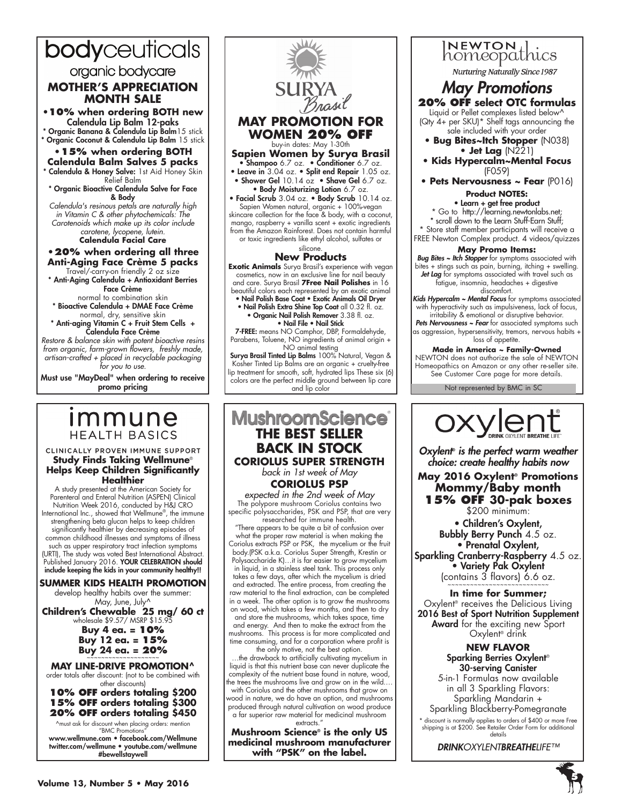# bodyceuticals

### organic bodycare **MOTHER'S APPRECIATION MONTH SALE**

**•10% when ordering BOTH new**  Calendula Lip Balm 12-paks

\* Organic Banana & Calendula Lip Balm15 stick \* Organic Coconut & Calendula Lip Balm 15 stick

#### **•15% when ordering BOTH Calendula Balm Salves 5 packs**

Calendula & Honey Salve: 1st Aid Honey Skin Relief Balm

\* Organic Bioactive Calendula Salve for Face & Body

*Calendula's resinous petals are naturally high in Vitamin C & other phytochemicals: The Carotenoids which make up its color include carotene, lycopene, lutein.* **Calendula Facial Care**

#### **•20% when ordering all three Anti-Aging Face Crème 5 packs**

Travel/-carry-on friendly 2 oz size \* Anti-Aging Calendula + Antioxidant Berries Face Crème

normal to combination skin

\* Bioactive Calendula + DMAE Face Crème normal, dry, sensitive skin

\* Anti-aging Vitamin C + Fruit Stem Cells + Calendula Face Crème

*Restore & balance skin with potent bioactive resins from organic, farm-grown flowers, freshly made, artisan-crafted + placed in recyclable packaging for you to use.*

Must use "MayDeal" when ordering to receive promo pricing

# **Immune HEALTH BASICS**

#### CLINICALLY PROVEN IMMUNE SUPPORT **Study Finds Taking Wellmune**® **Helps Keep Children Significantly Healthier**

A study presented at the American Society for Parenteral and Enteral Nutrition (ASPEN) Clinical Nutrition Week 2016, conducted by H&J CRO International Inc., showed that Wellmune®, the immune strengthening beta glucan helps to keep children significantly healthier by decreasing episodes of common childhood illnesses and symptoms of illness such as upper respiratory tract infection symptoms (URTI), The study was voted Best International Abstract. Published January 2016. YOUR CELEBRATION should include keeping the kids in your community healthy!!

#### **SUMMER KIDS HEALTH PROMOTION**

develop healthy habits over the summer: May, June, July^

**Children's Chewable 25 mg/ 60 ct** wholesale \$9.57/ MSRP \$15.95

**Buy 4 ea. = 10% Buy 12 ea. = 15% Buy 24 ea. = 20%** 

#### **May Line-drive Promotion^**

order totals after discount: (not to be combined with other discounts)

#### **10% OFF orders totaling \$200 15% OFF orders totaling \$300 20% OFF orders totaling \$450**

^must ask for discount when placing orders: mention "BMC Promotions' www.wellmune.com • facebook.com/Wellmune twitter.com/wellmune • youtube.com/wellmune #bewellstaywell



• Nail Polish Extra Shine Top Coat all 0.32 fl. oz. • Organic Nail Polish Remover 3.38 fl. oz. • Nail File • Nail Stick

7-FREE: means NO Camphor, DBP, Formaldehyde, Parabens, Toluene, NO ingredients of animal origin + NO animal testing

Surya Brasil Tinted Lip Balms 100% Natural, Vegan & Kosher Tinted Lip Balms are an organic + cruelty-free lip treatment for smooth, soft, hydrated lips These six (6) colors are the perfect middle ground between lip care

### **MushroomScience THE BEST SELLER Back in Stock Coriolus Super Strength** *back in 1st week of May* **Coriolus PSP**

*expected in the 2nd week of May* The polypore mushroom Coriolus contains two specific polysaccharides, PSK and PSP, that are very

researched for immune health. "There appears to be quite a bit of confusion over what the proper raw material is when making the

Coriolus extracts PSP or PSK, the mycelium or the fruit body.(PSK a.k.a. Coriolus Super Strength, Krestin or Polysaccharide K)…it is far easier to grow mycelium in liquid, in a stainless steel tank. This process only takes a few days, after which the mycelium is dried and extracted. The entire process, from creating the raw material to the final extraction, can be completed in a week. The other option is to grow the mushrooms on wood, which takes a few months, and then to dry and store the mushrooms, which takes space, time

and energy. And then to make the extract from the mushrooms. This process is far more complicated and time consuming, and for a corporation where profit is the only motive, not the best option.

…the drawback to artificially cultivating mycelium in liquid is that this nutrient base can never duplicate the complexity of the nutrient base found in nature, wood, the trees the mushrooms live and grow on in the wild.… with Coriolus and the other mushrooms that grow on wood in nature, we do have an option, and mushrooms produced through natural cultivation on wood produce a far superior raw material for medicinal mushroom extracts.'

**Mushroom Science® is the only US medicinal mushroom manufacturer with "PSK" on the label.**



Nurturing Naturally Since 1987

### *May Promotions* **20% OFF select OTC formulas**

Liquid or Pellet complexes listed below^ (Qty 4+ per SKU)\* Shelf tags announcing the sale included with your order

**• Bug Bites~Itch Stopper** (N038) **• Jet Lag** (N221)

**• Kids Hypercalm~Mental Focus** (F059)

**• Pets Nervousness ~ Fear** (P016)

#### **Product NOTES:** • Learn + get free product

\* Go to http://learning.newtonlabs.net; \* scroll down to the Learn Stuff-Earn Stuff; \* Store staff member participants will receive a FREE Newton Complex product. 4 videos/quizzes

#### **May Promo Items:**

*Bug Bites ~ Itch Stopper* for symptoms associated with bites + stings such as pain, burning, itching + swelling. Jet Lag for symptoms associated with travel such as fatigue, insomnia, headaches + digestive discomfort.

*Kids Hypercalm ~ Mental Focus* for symptoms associated with hyperactivity such as impulsiveness, lack of focus, irritability & emotional or disruptive behavior.

Pets Nervousness ~ Fear for associated symptoms such as aggression, hypersensitivity, tremors, nervous habits + loss of appetite.

**Made in America ~ Family-Owned** NEWTON does not authorize the sale of NEWTON Homeopathics on Amazon or any other re-seller site. See Customer Care page for more details.

Not represented by BMC in SC



*Oxylent***®** *is the perfect warm weather choice: create healthy habits now*

**May 2016 Oxylent® Promotions Mommy/Baby month 15% OFF 30-pak boxes**

\$200 minimum:

• Children's Oxylent, Bubbly Berry Punch 4.5 oz. • Prenatal Oxylent, Sparkling Cranberry-Raspberry 4.5 oz. • Variety Pak Oxylent  $\left($  contains  $3 \right)$  flavors) 6.6 oz.

**In time for Summer;** Oxylent<sup>®</sup> receives the Delicious Living 2016 Best of Sport Nutrition Supplement Award for the exciting new Sport Oxylent® drink

> **NEW FLAVOR**  Sparking Berries Oxylent® 30-serving Canister 5-in-1 Formulas now available in all 3 Sparkling Flavors: Sparkling Mandarin +

Sparkling Blackberry-Pomegranate \* discount is normally applies to orders of \$400 or more Free shipping is at \$200. See Retailer Order Form for additional details

*DRINKOXYLENTBREATHELIFE™*

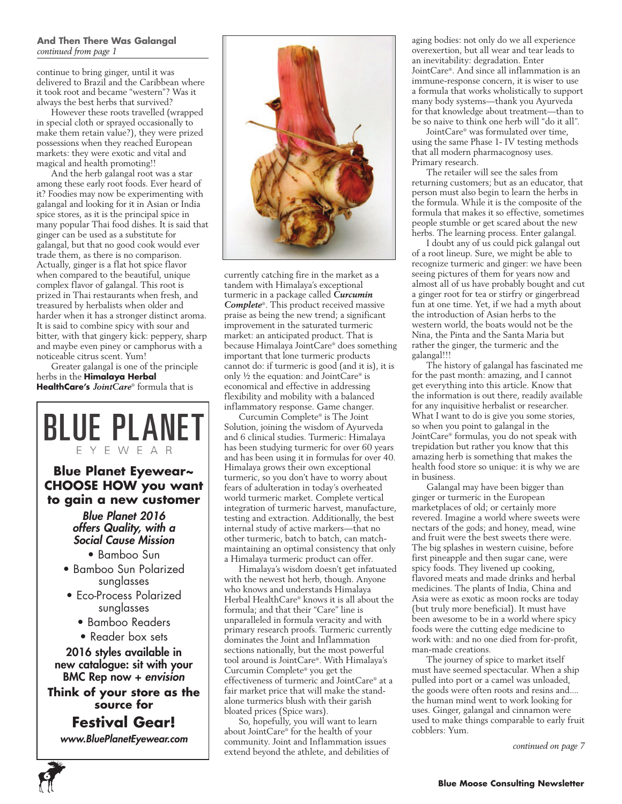#### **And Then There Was Galangal** *continued from page 1*

continue to bring ginger, until it was delivered to Brazil and the Caribbean where it took root and became "western"? Was it always the best herbs that survived?

However these roots travelled (wrapped in special cloth or sprayed occasionally to make them retain value?), they were prized possessions when they reached European markets: they were exotic and vital and magical and health promoting!!

And the herb galangal root was a star among these early root foods. Ever heard of it? Foodies may now be experimenting with galangal and looking for it in Asian or India spice stores, as it is the principal spice in many popular Thai food dishes. It is said that ginger can be used as a substitute for galangal, but that no good cook would ever trade them, as there is no comparison. Actually, ginger is a flat hot spice flavor when compared to the beautiful, unique complex flavor of galangal. This root is prized in Thai restaurants when fresh, and treasured by herbalists when older and harder when it has a stronger distinct aroma. It is said to combine spicy with sour and bitter, with that gingery kick: peppery, sharp and maybe even piney or camphorus with a noticeable citrus scent. Yum!

Greater galangal is one of the principle herbs in the **Himalaya Herbal HealthCare's** *JointCare*® formula that is

**BLUE PLANET** 

# **Blue Planet Eyewear~ CHOOSE HOW you want to gain a new customer**

EYEWEAR

### *Blue Planet 2016 offers Quality, with a Social Cause Mission*

- Bamboo Sun
- Bamboo Sun Polarized sunglasses
- Eco-Process Polarized sunglasses
	- Bamboo Readers
	- Reader box sets

2016 styles available in new catalogue: sit with your BMC Rep now + *envision*

**Think of your store as the source for** 

# **Festival Gear!**

*www.BluePlanetEyewear.com*

**6**



currently catching fire in the market as a tandem with Himalaya's exceptional turmeric in a package called *Curcumin Complete*®. This product received massive praise as being the new trend; a significant improvement in the saturated turmeric market: an anticipated product. That is because Himalaya JointCare® does something important that lone turmeric products cannot do: if turmeric is good (and it is), it is only ½ the equation: and JointCare® is economical and effective in addressing flexibility and mobility with a balanced inflammatory response. Game changer.

Curcumin Complete® is The Joint Solution, joining the wisdom of Ayurveda and 6 clinical studies. Turmeric: Himalaya has been studying turmeric for over 60 years and has been using it in formulas for over 40. Himalaya grows their own exceptional turmeric, so you don't have to worry about fears of adulteration in today's overheated world turmeric market. Complete vertical integration of turmeric harvest, manufacture, testing and extraction. Additionally, the best internal study of active markers—that no other turmeric, batch to batch, can matchmaintaining an optimal consistency that only a Himalaya turmeric product can offer.

Himalaya's wisdom doesn't get infatuated with the newest hot herb, though. Anyone who knows and understands Himalaya Herbal HealthCare® knows it is all about the formula; and that their "Care" line is unparalleled in formula veracity and with primary research proofs. Turmeric currently dominates the Joint and Inflammation sections nationally, but the most powerful tool around is JointCare®. With Himalaya's Curcumin Complete® you get the effectiveness of turmeric and JointCare® at a fair market price that will make the standalone turmerics blush with their garish bloated prices (Spice wars).

So, hopefully, you will want to learn about JointCare® for the health of your community. Joint and Inflammation issues extend beyond the athlete, and debilities of aging bodies: not only do we all experience overexertion, but all wear and tear leads to an inevitability: degradation. Enter JointCare®. And since all inflammation is an immune-response concern, it is wiser to use a formula that works wholistically to support many body systems—thank you Ayurveda for that knowledge about treatment—than to be so naive to think one herb will "do it all".

JointCare® was formulated over time, using the same Phase 1- IV testing methods that all modern pharmacognosy uses. Primary research.

The retailer will see the sales from returning customers; but as an educator, that person must also begin to learn the herbs in the formula. While it is the composite of the formula that makes it so effective, sometimes people stumble or get scared about the new herbs. The learning process. Enter galangal.

I doubt any of us could pick galangal out of a root lineup. Sure, we might be able to recognize turmeric and ginger: we have been seeing pictures of them for years now and almost all of us have probably bought and cut a ginger root for tea or stirfry or gingerbread fun at one time. Yet, if we had a myth about the introduction of Asian herbs to the western world, the boats would not be the Nina, the Pinta and the Santa Maria but rather the ginger, the turmeric and the galangal!!!

The history of galangal has fascinated me for the past month: amazing, and I cannot get everything into this article. Know that the information is out there, readily available for any inquisitive herbalist or researcher. What I want to do is give you some stories, so when you point to galangal in the JointCare® formulas, you do not speak with trepidation but rather you know that this amazing herb is something that makes the health food store so unique: it is why we are in business.

Galangal may have been bigger than ginger or turmeric in the European marketplaces of old; or certainly more revered. Imagine a world where sweets were nectars of the gods; and honey, mead, wine and fruit were the best sweets there were. The big splashes in western cuisine, before first pineapple and then sugar cane, were spicy foods. They livened up cooking, flavored meats and made drinks and herbal medicines. The plants of India, China and Asia were as exotic as moon rocks are today (but truly more beneficial). It must have been awesome to be in a world where spicy foods were the cutting edge medicine to work with: and no one died from for-profit, man-made creations.

The journey of spice to market itself must have seemed spectacular. When a ship pulled into port or a camel was unloaded, the goods were often roots and resins and.... the human mind went to work looking for uses. Ginger, galangal and cinnamon were used to make things comparable to early fruit cobblers: Yum.

*continued on page 7*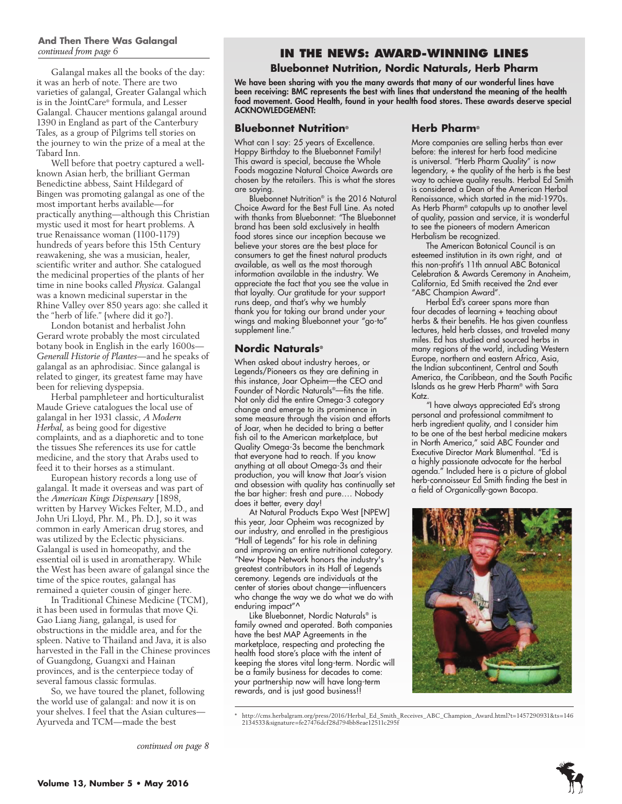#### **And Then There Was Galangal** *continued from page 6*

Galangal makes all the books of the day: it was an herb of note. There are two varieties of galangal, Greater Galangal which is in the JointCare® formula, and Lesser Galangal. Chaucer mentions galangal around 1390 in England as part of the Canterbury Tales, as a group of Pilgrims tell stories on the journey to win the prize of a meal at the Tabard Inn.

Well before that poetry captured a wellknown Asian herb, the brilliant German Benedictine abbess, Saint Hildegard of Bingen was promoting galangal as one of the most important herbs available—for practically anything—although this Christian mystic used it most for heart problems. A true Renaissance woman (1100-1179) hundreds of years before this 15th Century reawakening, she was a musician, healer, scientific writer and author. She catalogued the medicinal properties of the plants of her time in nine books called *Physica*. Galangal was a known medicinal superstar in the Rhine Valley over 850 years ago: she called it the "herb of life." {where did it go?}.

London botanist and herbalist John Gerard wrote probably the most circulated botany book in English in the early 1600s— *Generall Historie of Plantes*—and he speaks of galangal as an aphrodisiac. Since galangal is related to ginger, its greatest fame may have been for relieving dyspepsia.

Herbal pamphleteer and horticulturalist Maude Grieve catalogues the local use of galangal in her 1931 classic, *A Modern Herbal,* as being good for digestive complaints, and as a diaphoretic and to tone the tissues She references its use for cattle medicine, and the story that Arabs used to feed it to their horses as a stimulant.

European history records a long use of galangal. It made it overseas and was part of the *American Kings Dispensary* [1898, written by Harvey Wickes Felter, M.D., and John Uri Lloyd, Phr. M., Ph. D.], so it was common in early American drug stores, and was utilized by the Eclectic physicians. Galangal is used in homeopathy, and the essential oil is used in aromatherapy. While the West has been aware of galangal since the time of the spice routes, galangal has remained a quieter cousin of ginger here.

In Traditional Chinese Medicine (TCM), it has been used in formulas that move Qi. Gao Liang Jiang, galangal, is used for obstructions in the middle area, and for the spleen. Native to Thailand and Java, it is also harvested in the Fall in the Chinese provinces of Guangdong, Guangxi and Hainan provinces, and is the centerpiece today of several famous classic formulas.

So, we have toured the planet, following the world use of galangal: and now it is on your shelves. I feel that the Asian cultures— Ayurveda and TCM—made the best

### **In the news: Award-winning lines**

#### **Bluebonnet Nutrition, Nordic Naturals, Herb Pharm**

We have been sharing with you the many awards that many of our wonderful lines have been receiving: BMC represents the best with lines that understand the meaning of the health food movement. Good Health, found in your health food stores. These awards deserve special ACKNOWLEDGEMENT:

#### **Bluebonnet Nutrition®**

What can I say: 25 years of Excellence. Happy Birthday to the Bluebonnet Family! This award is special, because the Whole Foods magazine Natural Choice Awards are chosen by the retailers. This is what the stores are saying.

Bluebonnet Nutrition<sup>®</sup> is the 2016 Natural Choice Award for the Best Full Line. As noted with thanks from Bluebonnet: "The Bluebonnet brand has been sold exclusively in health food stores since our inception because we believe your stores are the best place for consumers to get the finest natural products available, as well as the most thorough information available in the industry. We appreciate the fact that you see the value in that loyalty. Our gratitude for your support runs deep, and that's why we humbly thank you for taking our brand under your wings and making Bluebonnet your "go-to" supplement line."

#### **Nordic Naturals®**

When asked about industry heroes, or Legends/Pioneers as they are defining in this instance, Joar Opheim—the CEO and Founder of Nordic Naturals®—fits the title. Not only did the entire Omega-3 category change and emerge to its prominence in some measure through the vision and efforts of Joar, when he decided to bring a better fish oil to the American marketplace, but Quality Omega-3s became the benchmark that everyone had to reach. If you know anything at all about Omega-3s and their production, you will know that Joar's vision and obsession with quality has continually set the bar higher: fresh and pure…. Nobody does it better, every day!

At Natural Products Expo West [NPEW] this year, Joar Opheim was recognized by our industry, and enrolled in the prestigious "Hall of Legends" for his role in defining and improving an entire nutritional category. "New Hope Network honors the industry's greatest contributors in its Hall of Legends ceremony. Legends are individuals at the center of stories about change—influencers who change the way we do what we do with enduring impact"^

Like Bluebonnet, Nordic Naturals® is family owned and operated. Both companies have the best MAP Agreements in the marketplace, respecting and protecting the health food store's place with the intent of keeping the stores vital long-term. Nordic will be a family business for decades to come: your partnership now will have long-term rewards, and is just good business!!

### **Herb Pharm®**

More companies are selling herbs than ever before: the interest for herb food medicine is universal. "Herb Pharm Quality" is now legendary, + the quality of the herb is the best way to achieve quality results. Herbal Ed Smith is considered a Dean of the American Herbal Renaissance, which started in the mid-1970s. As Herb Pharm® catapults up to another level of quality, passion and service, it is wonderful to see the pioneers of modern American Herbalism be recognized.

The American Botanical Council is an esteemed institution in its own right, and at this non-profit's 11th annual ABC Botanical Celebration & Awards Ceremony in Anaheim, California, Ed Smith received the 2nd ever "ABC Champion Award".

Herbal Ed's career spans more than four decades of learning + teaching about herbs & their benefits. He has given countless lectures, held herb classes, and traveled many miles. Ed has studied and sourced herbs in many regions of the world, including Western Europe, northern and eastern Africa, Asia, the Indian subcontinent, Central and South America, the Caribbean, and the South Pacific Islands as he grew Herb Pharm® with Sara Katz.

"I have always appreciated Ed's strong personal and professional commitment to herb ingredient quality, and I consider him to be one of the best herbal medicine makers in North America," said ABC Founder and Executive Director Mark Blumenthal. "Ed is a highly passionate advocate for the herbal agenda." Included here is a picture of global herb-connoisseur Ed Smith finding the best in a field of Organically-gown Bacopa.



<sup>\*</sup> http://cms.herbalgram.org/press/2016/Herbal\_Ed\_Smith\_Receives\_ABC\_Champion\_Award.html?t=1457290931&ts=146 2134533&signature=fe27476dcf28d794bb8eae12511c295f

*continued on page 8*